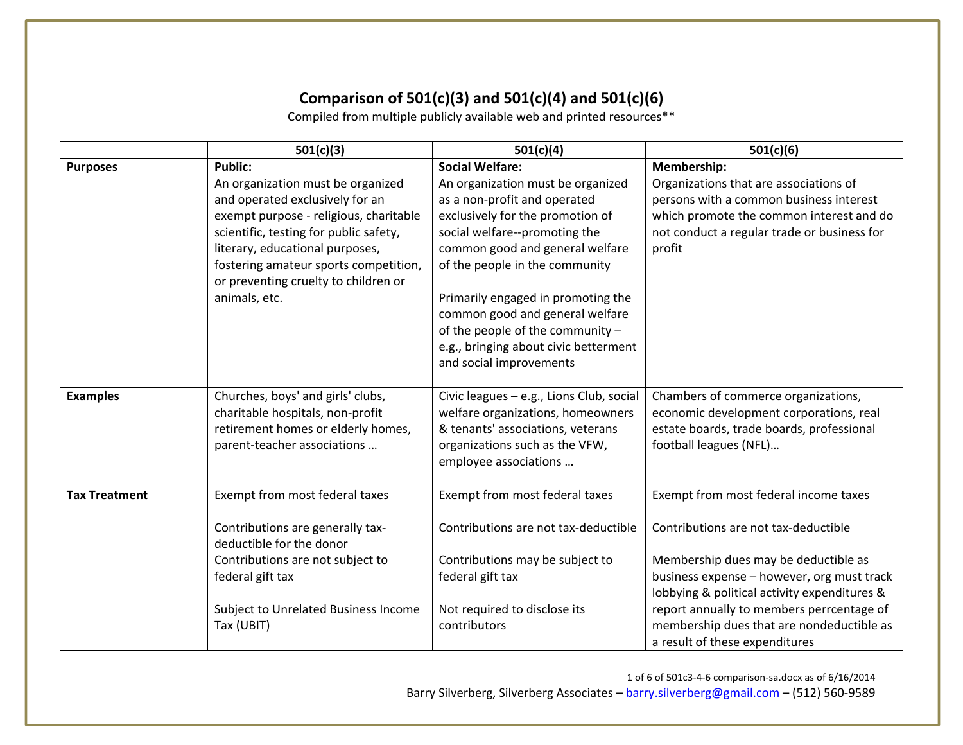## **Comparison of 501(c)(3) and 501(c)(4) and 501(c)(6)**

Compiled from multiple publicly available web and printed resources\*\*

|                      | 501(c)(3)                                                                                                                                                                                                                                                                                                       | 501(c)(4)                                                                                                                                                                                                                                                                                                                                                                                                              | 501(c)(6)                                                                                                                                                                                                                                                                                                                                       |
|----------------------|-----------------------------------------------------------------------------------------------------------------------------------------------------------------------------------------------------------------------------------------------------------------------------------------------------------------|------------------------------------------------------------------------------------------------------------------------------------------------------------------------------------------------------------------------------------------------------------------------------------------------------------------------------------------------------------------------------------------------------------------------|-------------------------------------------------------------------------------------------------------------------------------------------------------------------------------------------------------------------------------------------------------------------------------------------------------------------------------------------------|
| <b>Purposes</b>      | <b>Public:</b><br>An organization must be organized<br>and operated exclusively for an<br>exempt purpose - religious, charitable<br>scientific, testing for public safety,<br>literary, educational purposes,<br>fostering amateur sports competition,<br>or preventing cruelty to children or<br>animals, etc. | <b>Social Welfare:</b><br>An organization must be organized<br>as a non-profit and operated<br>exclusively for the promotion of<br>social welfare--promoting the<br>common good and general welfare<br>of the people in the community<br>Primarily engaged in promoting the<br>common good and general welfare<br>of the people of the community -<br>e.g., bringing about civic betterment<br>and social improvements | Membership:<br>Organizations that are associations of<br>persons with a common business interest<br>which promote the common interest and do<br>not conduct a regular trade or business for<br>profit                                                                                                                                           |
| <b>Examples</b>      | Churches, boys' and girls' clubs,<br>charitable hospitals, non-profit<br>retirement homes or elderly homes,<br>parent-teacher associations                                                                                                                                                                      | Civic leagues - e.g., Lions Club, social<br>welfare organizations, homeowners<br>& tenants' associations, veterans<br>organizations such as the VFW,<br>employee associations                                                                                                                                                                                                                                          | Chambers of commerce organizations,<br>economic development corporations, real<br>estate boards, trade boards, professional<br>football leagues (NFL)                                                                                                                                                                                           |
| <b>Tax Treatment</b> | Exempt from most federal taxes<br>Contributions are generally tax-<br>deductible for the donor<br>Contributions are not subject to<br>federal gift tax<br>Subject to Unrelated Business Income<br>Tax (UBIT)                                                                                                    | Exempt from most federal taxes<br>Contributions are not tax-deductible<br>Contributions may be subject to<br>federal gift tax<br>Not required to disclose its<br>contributors                                                                                                                                                                                                                                          | Exempt from most federal income taxes<br>Contributions are not tax-deductible<br>Membership dues may be deductible as<br>business expense - however, org must track<br>lobbying & political activity expenditures &<br>report annually to members perrcentage of<br>membership dues that are nondeductible as<br>a result of these expenditures |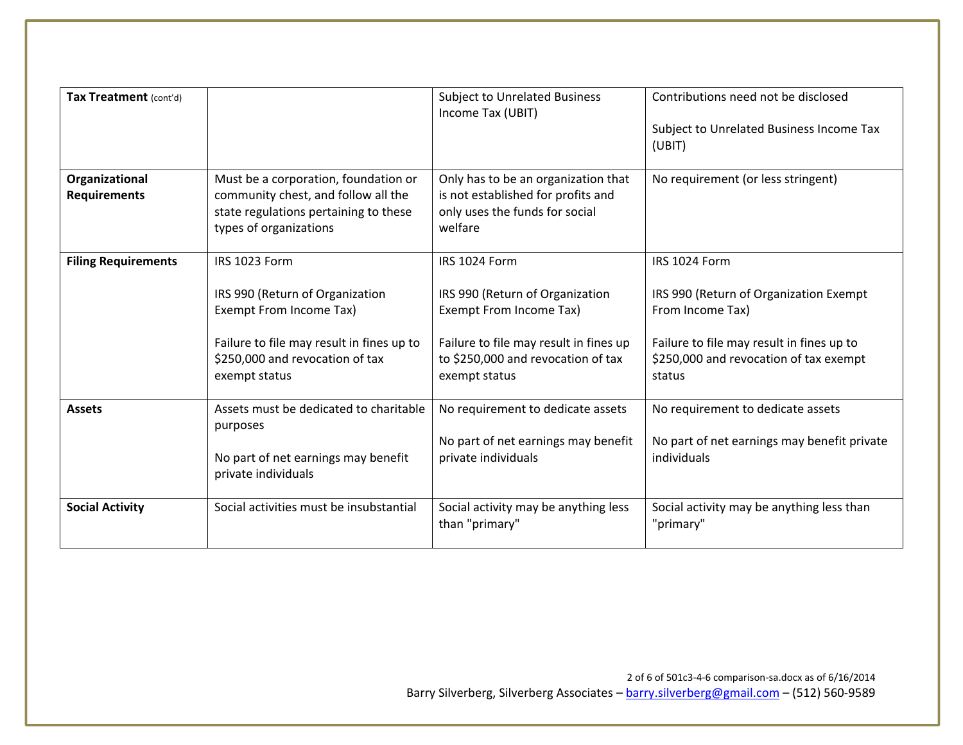| Tax Treatment (cont'd)                |                                                                                                                                                                              | <b>Subject to Unrelated Business</b><br>Income Tax (UBIT)                                                                                                                    | Contributions need not be disclosed<br>Subject to Unrelated Business Income Tax<br>(UBIT)                                                                                    |
|---------------------------------------|------------------------------------------------------------------------------------------------------------------------------------------------------------------------------|------------------------------------------------------------------------------------------------------------------------------------------------------------------------------|------------------------------------------------------------------------------------------------------------------------------------------------------------------------------|
| Organizational<br><b>Requirements</b> | Must be a corporation, foundation or<br>community chest, and follow all the<br>state regulations pertaining to these<br>types of organizations                               | Only has to be an organization that<br>is not established for profits and<br>only uses the funds for social<br>welfare                                                       | No requirement (or less stringent)                                                                                                                                           |
| <b>Filing Requirements</b>            | IRS 1023 Form<br>IRS 990 (Return of Organization<br>Exempt From Income Tax)<br>Failure to file may result in fines up to<br>\$250,000 and revocation of tax<br>exempt status | IRS 1024 Form<br>IRS 990 (Return of Organization<br>Exempt From Income Tax)<br>Failure to file may result in fines up<br>to \$250,000 and revocation of tax<br>exempt status | IRS 1024 Form<br>IRS 990 (Return of Organization Exempt<br>From Income Tax)<br>Failure to file may result in fines up to<br>\$250,000 and revocation of tax exempt<br>status |
| <b>Assets</b>                         | Assets must be dedicated to charitable<br>purposes<br>No part of net earnings may benefit<br>private individuals                                                             | No requirement to dedicate assets<br>No part of net earnings may benefit<br>private individuals                                                                              | No requirement to dedicate assets<br>No part of net earnings may benefit private<br>individuals                                                                              |
| <b>Social Activity</b>                | Social activities must be insubstantial                                                                                                                                      | Social activity may be anything less<br>than "primary"                                                                                                                       | Social activity may be anything less than<br>"primary"                                                                                                                       |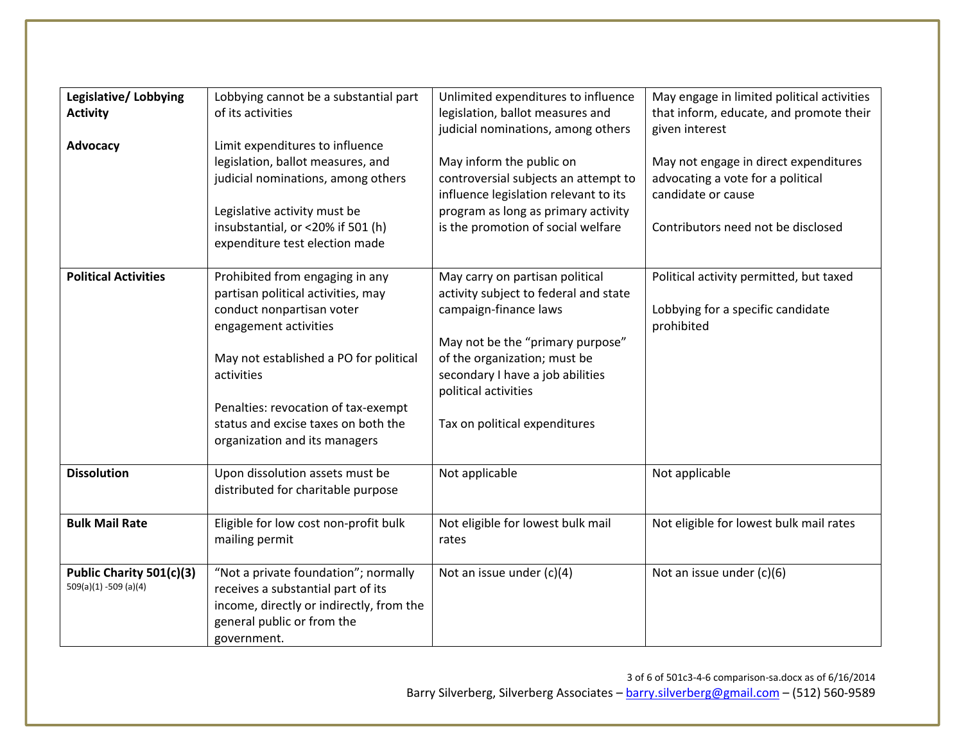| Legislative/Lobbying        | Lobbying cannot be a substantial part    | Unlimited expenditures to influence   | May engage in limited political activities |
|-----------------------------|------------------------------------------|---------------------------------------|--------------------------------------------|
| <b>Activity</b>             | of its activities                        | legislation, ballot measures and      | that inform, educate, and promote their    |
|                             |                                          | judicial nominations, among others    | given interest                             |
| Advocacy                    | Limit expenditures to influence          |                                       |                                            |
|                             | legislation, ballot measures, and        | May inform the public on              | May not engage in direct expenditures      |
|                             | judicial nominations, among others       | controversial subjects an attempt to  | advocating a vote for a political          |
|                             |                                          | influence legislation relevant to its | candidate or cause                         |
|                             | Legislative activity must be             | program as long as primary activity   |                                            |
|                             | insubstantial, or <20% if 501 (h)        | is the promotion of social welfare    | Contributors need not be disclosed         |
|                             | expenditure test election made           |                                       |                                            |
|                             |                                          |                                       |                                            |
| <b>Political Activities</b> | Prohibited from engaging in any          | May carry on partisan political       | Political activity permitted, but taxed    |
|                             | partisan political activities, may       | activity subject to federal and state |                                            |
|                             | conduct nonpartisan voter                | campaign-finance laws                 | Lobbying for a specific candidate          |
|                             | engagement activities                    |                                       | prohibited                                 |
|                             |                                          | May not be the "primary purpose"      |                                            |
|                             | May not established a PO for political   | of the organization; must be          |                                            |
|                             | activities                               | secondary I have a job abilities      |                                            |
|                             |                                          | political activities                  |                                            |
|                             | Penalties: revocation of tax-exempt      |                                       |                                            |
|                             | status and excise taxes on both the      | Tax on political expenditures         |                                            |
|                             | organization and its managers            |                                       |                                            |
|                             |                                          |                                       |                                            |
| <b>Dissolution</b>          | Upon dissolution assets must be          | Not applicable                        | Not applicable                             |
|                             | distributed for charitable purpose       |                                       |                                            |
|                             |                                          |                                       |                                            |
| <b>Bulk Mail Rate</b>       | Eligible for low cost non-profit bulk    | Not eligible for lowest bulk mail     | Not eligible for lowest bulk mail rates    |
|                             | mailing permit                           | rates                                 |                                            |
|                             |                                          |                                       |                                            |
| Public Charity 501(c)(3)    | "Not a private foundation"; normally     | Not an issue under (c)(4)             | Not an issue under (c)(6)                  |
| 509(a)(1) -509 (a)(4)       | receives a substantial part of its       |                                       |                                            |
|                             | income, directly or indirectly, from the |                                       |                                            |
|                             | general public or from the               |                                       |                                            |
|                             | government.                              |                                       |                                            |
|                             |                                          |                                       |                                            |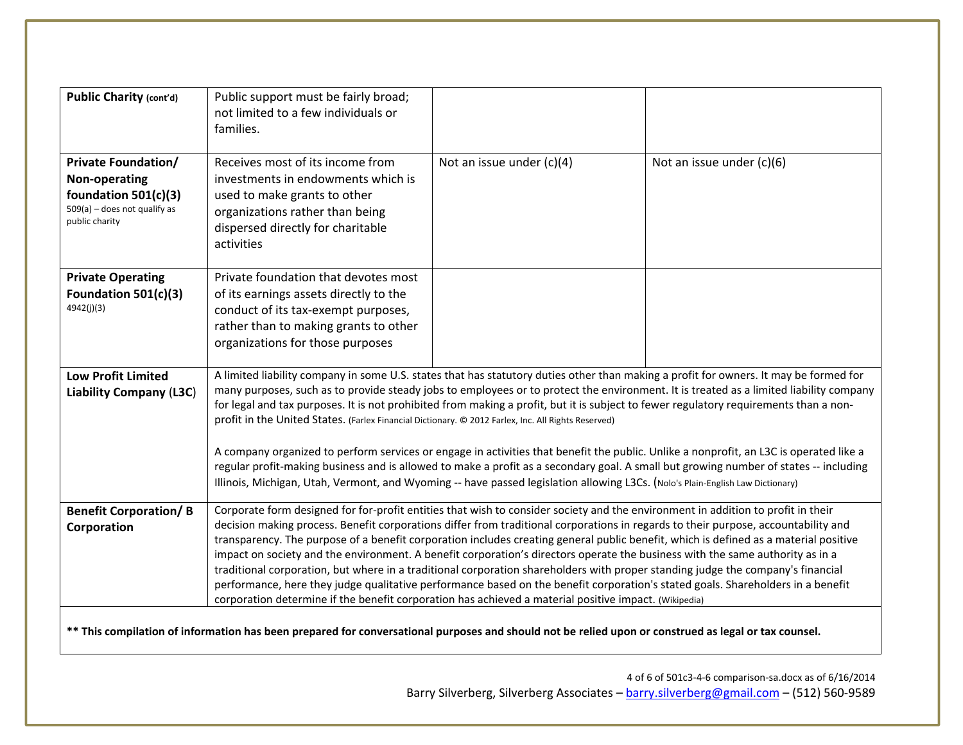| <b>Public Charity (cont'd)</b>                                                                                                                                                                                                                                                                                                                                                                                                                                                                                                                                                                                                                                                                                                                                                                                                                                                                                                                                                                                                                                                                                                        | Public support must be fairly broad;<br>not limited to a few individuals or<br>families.                                                                                                                                                                                                                                                                                                                                                                                                                                                                                                                                                                                                                                                                                                                                                                                                                                                             |                             |                           |
|---------------------------------------------------------------------------------------------------------------------------------------------------------------------------------------------------------------------------------------------------------------------------------------------------------------------------------------------------------------------------------------------------------------------------------------------------------------------------------------------------------------------------------------------------------------------------------------------------------------------------------------------------------------------------------------------------------------------------------------------------------------------------------------------------------------------------------------------------------------------------------------------------------------------------------------------------------------------------------------------------------------------------------------------------------------------------------------------------------------------------------------|------------------------------------------------------------------------------------------------------------------------------------------------------------------------------------------------------------------------------------------------------------------------------------------------------------------------------------------------------------------------------------------------------------------------------------------------------------------------------------------------------------------------------------------------------------------------------------------------------------------------------------------------------------------------------------------------------------------------------------------------------------------------------------------------------------------------------------------------------------------------------------------------------------------------------------------------------|-----------------------------|---------------------------|
| <b>Private Foundation/</b><br>Non-operating<br>foundation $501(c)(3)$<br>$509(a)$ - does not qualify as<br>public charity                                                                                                                                                                                                                                                                                                                                                                                                                                                                                                                                                                                                                                                                                                                                                                                                                                                                                                                                                                                                             | Receives most of its income from<br>investments in endowments which is<br>used to make grants to other<br>organizations rather than being<br>dispersed directly for charitable<br>activities                                                                                                                                                                                                                                                                                                                                                                                                                                                                                                                                                                                                                                                                                                                                                         | Not an issue under $(c)(4)$ | Not an issue under (c)(6) |
| <b>Private Operating</b><br>Foundation 501(c)(3)<br>4942(j)(3)                                                                                                                                                                                                                                                                                                                                                                                                                                                                                                                                                                                                                                                                                                                                                                                                                                                                                                                                                                                                                                                                        | Private foundation that devotes most<br>of its earnings assets directly to the<br>conduct of its tax-exempt purposes,<br>rather than to making grants to other<br>organizations for those purposes                                                                                                                                                                                                                                                                                                                                                                                                                                                                                                                                                                                                                                                                                                                                                   |                             |                           |
| <b>Low Profit Limited</b><br><b>Liability Company (L3C)</b>                                                                                                                                                                                                                                                                                                                                                                                                                                                                                                                                                                                                                                                                                                                                                                                                                                                                                                                                                                                                                                                                           | A limited liability company in some U.S. states that has statutory duties other than making a profit for owners. It may be formed for<br>many purposes, such as to provide steady jobs to employees or to protect the environment. It is treated as a limited liability company<br>for legal and tax purposes. It is not prohibited from making a profit, but it is subject to fewer regulatory requirements than a non-<br>profit in the United States. (Farlex Financial Dictionary. © 2012 Farlex, Inc. All Rights Reserved)<br>A company organized to perform services or engage in activities that benefit the public. Unlike a nonprofit, an L3C is operated like a<br>regular profit-making business and is allowed to make a profit as a secondary goal. A small but growing number of states -- including<br>Illinois, Michigan, Utah, Vermont, and Wyoming -- have passed legislation allowing L3Cs. (Nolo's Plain-English Law Dictionary) |                             |                           |
| Corporate form designed for for-profit entities that wish to consider society and the environment in addition to profit in their<br><b>Benefit Corporation/B</b><br>decision making process. Benefit corporations differ from traditional corporations in regards to their purpose, accountability and<br>Corporation<br>transparency. The purpose of a benefit corporation includes creating general public benefit, which is defined as a material positive<br>impact on society and the environment. A benefit corporation's directors operate the business with the same authority as in a<br>traditional corporation, but where in a traditional corporation shareholders with proper standing judge the company's financial<br>performance, here they judge qualitative performance based on the benefit corporation's stated goals. Shareholders in a benefit<br>corporation determine if the benefit corporation has achieved a material positive impact. (Wikipedia)<br>** This compilation of information has been prepared for conversational purposes and should not be relied upon or construed as legal or tax counsel. |                                                                                                                                                                                                                                                                                                                                                                                                                                                                                                                                                                                                                                                                                                                                                                                                                                                                                                                                                      |                             |                           |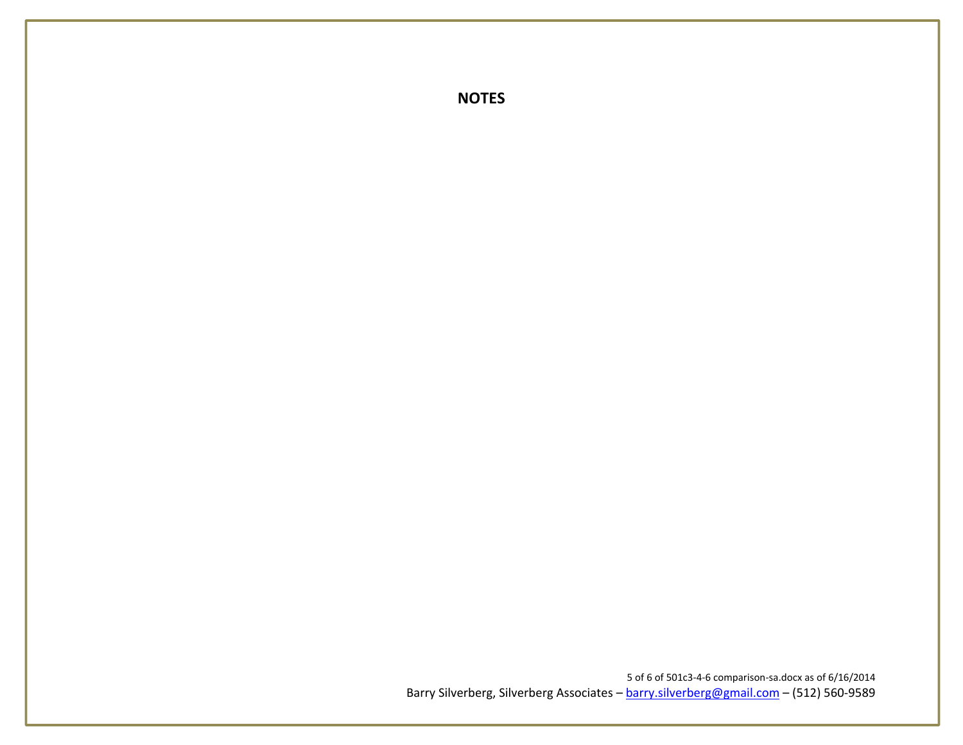